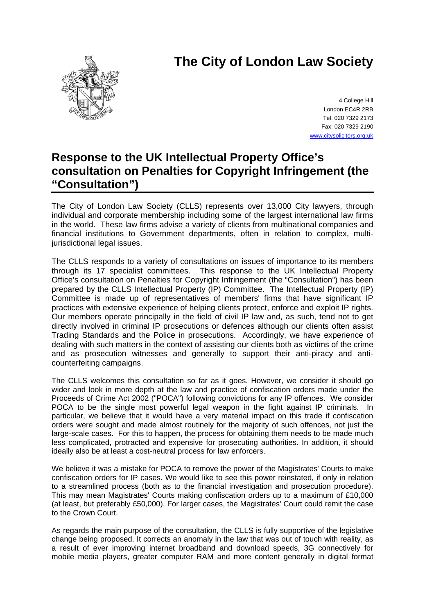# **The City of London Law Society**



4 College Hill London EC4R 2RB Tel: 020 7329 2173 Fax: 020 7329 2190 [www.citysolicitors.org.uk](http://www.citysolicitors.org.uk/)

# **Response to the UK Intellectual Property Office's consultation on Penalties for Copyright Infringement (the "Consultation")**

The City of London Law Society (CLLS) represents over 13,000 City lawyers, through individual and corporate membership including some of the largest international law firms in the world. These law firms advise a variety of clients from multinational companies and financial institutions to Government departments, often in relation to complex, multiiurisdictional legal issues.

The CLLS responds to a variety of consultations on issues of importance to its members through its 17 specialist committees. This response to the UK Intellectual Property Office's consultation on Penalties for Copyright Infringement (the "Consultation") has been prepared by the CLLS Intellectual Property (IP) Committee. The Intellectual Property (IP) Committee is made up of representatives of members' firms that have significant IP practices with extensive experience of helping clients protect, enforce and exploit IP rights. Our members operate principally in the field of civil IP law and, as such, tend not to get directly involved in criminal IP prosecutions or defences although our clients often assist Trading Standards and the Police in prosecutions. Accordingly, we have experience of dealing with such matters in the context of assisting our clients both as victims of the crime and as prosecution witnesses and generally to support their anti-piracy and anticounterfeiting campaigns.

The CLLS welcomes this consultation so far as it goes. However, we consider it should go wider and look in more depth at the law and practice of confiscation orders made under the Proceeds of Crime Act 2002 ("POCA") following convictions for any IP offences. We consider POCA to be the single most powerful legal weapon in the fight against IP criminals. In particular, we believe that it would have a very material impact on this trade if confiscation orders were sought and made almost routinely for the majority of such offences, not just the large-scale cases. For this to happen, the process for obtaining them needs to be made much less complicated, protracted and expensive for prosecuting authorities. In addition, it should ideally also be at least a cost-neutral process for law enforcers.

We believe it was a mistake for POCA to remove the power of the Magistrates' Courts to make confiscation orders for IP cases. We would like to see this power reinstated, if only in relation to a streamlined process (both as to the financial investigation and prosecution procedure). This may mean Magistrates' Courts making confiscation orders up to a maximum of £10,000 (at least, but preferably £50,000). For larger cases, the Magistrates' Court could remit the case to the Crown Court.

As regards the main purpose of the consultation, the CLLS is fully supportive of the legislative change being proposed. It corrects an anomaly in the law that was out of touch with reality, as a result of ever improving internet broadband and download speeds, 3G connectively for mobile media players, greater computer RAM and more content generally in digital format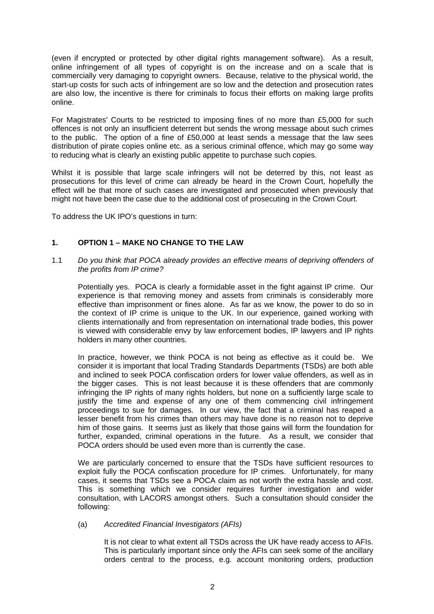(even if encrypted or protected by other digital rights management software). As a result, online infringement of all types of copyright is on the increase and on a scale that is commercially very damaging to copyright owners. Because, relative to the physical world, the start-up costs for such acts of infringement are so low and the detection and prosecution rates are also low, the incentive is there for criminals to focus their efforts on making large profits online.

For Magistrates' Courts to be restricted to imposing fines of no more than £5,000 for such offences is not only an insufficient deterrent but sends the wrong message about such crimes to the public. The option of a fine of £50,000 at least sends a message that the law sees distribution of pirate copies online etc. as a serious criminal offence, which may go some way to reducing what is clearly an existing public appetite to purchase such copies.

Whilst it is possible that large scale infringers will not be deterred by this, not least as prosecutions for this level of crime can already be heard in the Crown Court, hopefully the effect will be that more of such cases are investigated and prosecuted when previously that might not have been the case due to the additional cost of prosecuting in the Crown Court.

To address the UK IPO's questions in turn:

# **1. OPTION 1 – MAKE NO CHANGE TO THE LAW**

1.1 *Do you think that POCA already provides an effective means of depriving offenders of the profits from IP crime?* 

Potentially yes. POCA is clearly a formidable asset in the fight against IP crime. Our experience is that removing money and assets from criminals is considerably more effective than imprisonment or fines alone. As far as we know, the power to do so in the context of IP crime is unique to the UK. In our experience, gained working with clients internationally and from representation on international trade bodies, this power is viewed with considerable envy by law enforcement bodies, IP lawyers and IP rights holders in many other countries.

In practice, however, we think POCA is not being as effective as it could be. We consider it is important that local Trading Standards Departments (TSDs) are both able and inclined to seek POCA confiscation orders for lower value offenders, as well as in the bigger cases. This is not least because it is these offenders that are commonly infringing the IP rights of many rights holders, but none on a sufficiently large scale to justify the time and expense of any one of them commencing civil infringement proceedings to sue for damages. In our view, the fact that a criminal has reaped a lesser benefit from his crimes than others may have done is no reason not to deprive him of those gains. It seems just as likely that those gains will form the foundation for further, expanded, criminal operations in the future. As a result, we consider that POCA orders should be used even more than is currently the case.

We are particularly concerned to ensure that the TSDs have sufficient resources to exploit fully the POCA confiscation procedure for IP crimes. Unfortunately, for many cases, it seems that TSDs see a POCA claim as not worth the extra hassle and cost. This is something which we consider requires further investigation and wider consultation, with LACORS amongst others. Such a consultation should consider the following:

# (a) *Accredited Financial Investigators (AFIs)*

It is not clear to what extent all TSDs across the UK have ready access to AFIs. This is particularly important since only the AFIs can seek some of the ancillary orders central to the process, e.g. account monitoring orders, production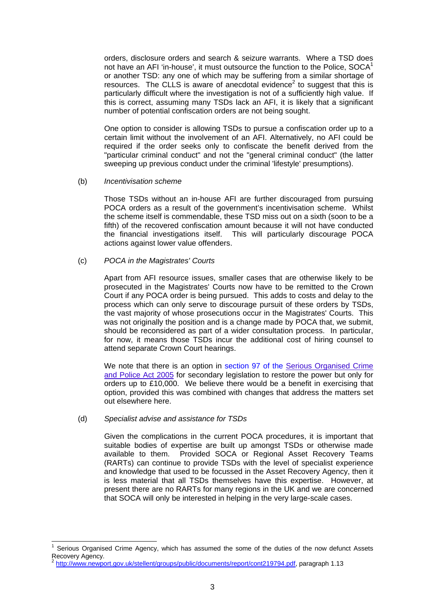orders, disclosure orders and search & seizure warrants. Where a TSD does not have an AFI 'in-house', it must outsource the function to the Police,  $SOCA<sup>1</sup>$  $SOCA<sup>1</sup>$  $SOCA<sup>1</sup>$ or another TSD: any one of which may be suffering from a similar shortage of resources. The CLLS is aware of anecdotal evidence<sup>[2](#page-2-1)</sup> to suggest that this is particularly difficult where the investigation is not of a sufficiently high value. If this is correct, assuming many TSDs lack an AFI, it is likely that a significant number of potential confiscation orders are not being sought.

One option to consider is allowing TSDs to pursue a confiscation order up to a certain limit without the involvement of an AFI. Alternatively, no AFI could be required if the order seeks only to confiscate the benefit derived from the "particular criminal conduct" and not the "general criminal conduct" (the latter sweeping up previous conduct under the criminal 'lifestyle' presumptions).

(b) *Incentivisation scheme* 

Those TSDs without an in-house AFI are further discouraged from pursuing POCA orders as a result of the government's incentivisation scheme. Whilst the scheme itself is commendable, these TSD miss out on a sixth (soon to be a fifth) of the recovered confiscation amount because it will not have conducted the financial investigations itself. This will particularly discourage POCA actions against lower value offenders.

#### (c) *POCA in the Magistrates' Courts*

Apart from AFI resource issues, smaller cases that are otherwise likely to be prosecuted in the Magistrates' Courts now have to be remitted to the Crown Court if any POCA order is being pursued. This adds to costs and delay to the process which can only serve to discourage pursuit of these orders by TSDs, the vast majority of whose prosecutions occur in the Magistrates' Courts. This was not originally the position and is a change made by POCA that, we submit, should be reconsidered as part of a wider consultation process. In particular, for now, it means those TSDs incur the additional cost of hiring counsel to attend separate Crown Court hearings.

We note that there is an option in section 97 of the Serious Organised Crime and Police Act 2005 for secondary legislation to restore the power but only for orders up to £10,000. We believe there would be a benefit in exercising that option, provided this was combined with changes that address the matters set out elsewhere here.

(d) *Specialist advise and assistance for TSDs* 

Given the complications in the current POCA procedures, it is important that suitable bodies of expertise are built up amongst TSDs or otherwise made available to them. Provided SOCA or Regional Asset Recovery Teams (RARTs) can continue to provide TSDs with the level of specialist experience and knowledge that used to be focussed in the Asset Recovery Agency, then it is less material that all TSDs themselves have this expertise. However, at present there are no RARTs for many regions in the UK and we are concerned that SOCA will only be interested in helping in the very large-scale cases.

<span id="page-2-0"></span> $\frac{1}{1}$  Serious Organised Crime Agency, which has assumed the some of the duties of the now defunct Assets Recovery Agency.<br><sup>2</sup> <http://www.newport.gov.uk/stellent/groups/public/documents/report/cont219794.pdf>, paragraph 1.13

<span id="page-2-1"></span>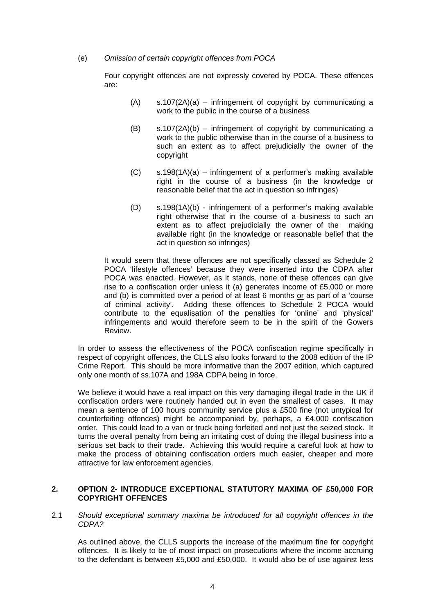# (e) *Omission of certain copyright offences from POCA*

Four copyright offences are not expressly covered by POCA. These offences are:

- $(A)$  s.107(2A)(a) infringement of copyright by communicating a work to the public in the course of a business
- $(B)$  s.107(2A)(b) infringement of copyright by communicating a work to the public otherwise than in the course of a business to such an extent as to affect prejudicially the owner of the copyright
- $(C)$  s.198(1A)(a) infringement of a performer's making available right in the course of a business (in the knowledge or reasonable belief that the act in question so infringes)
- (D) s.198(1A)(b) infringement of a performer's making available right otherwise that in the course of a business to such an extent as to affect prejudicially the owner of the making available right (in the knowledge or reasonable belief that the act in question so infringes)

It would seem that these offences are not specifically classed as Schedule 2 POCA 'lifestyle offences' because they were inserted into the CDPA after POCA was enacted. However, as it stands, none of these offences can give rise to a confiscation order unless it (a) generates income of £5,000 or more and (b) is committed over a period of at least 6 months or as part of a 'course of criminal activity'. Adding these offences to Schedule 2 POCA would contribute to the equalisation of the penalties for 'online' and 'physical' infringements and would therefore seem to be in the spirit of the Gowers Review.

In order to assess the effectiveness of the POCA confiscation regime specifically in respect of copyright offences, the CLLS also looks forward to the 2008 edition of the IP Crime Report. This should be more informative than the 2007 edition, which captured only one month of ss.107A and 198A CDPA being in force.

We believe it would have a real impact on this very damaging illegal trade in the UK if confiscation orders were routinely handed out in even the smallest of cases. It may mean a sentence of 100 hours community service plus a £500 fine (not untypical for counterfeiting offences) might be accompanied by, perhaps, a £4,000 confiscation order. This could lead to a van or truck being forfeited and not just the seized stock. It turns the overall penalty from being an irritating cost of doing the illegal business into a serious set back to their trade. Achieving this would require a careful look at how to make the process of obtaining confiscation orders much easier, cheaper and more attractive for law enforcement agencies.

# **2. OPTION 2- INTRODUCE EXCEPTIONAL STATUTORY MAXIMA OF £50,000 FOR COPYRIGHT OFFENCES**

2.1 *Should exceptional summary maxima be introduced for all copyright offences in the CDPA?*

As outlined above, the CLLS supports the increase of the maximum fine for copyright offences. It is likely to be of most impact on prosecutions where the income accruing to the defendant is between £5,000 and £50,000. It would also be of use against less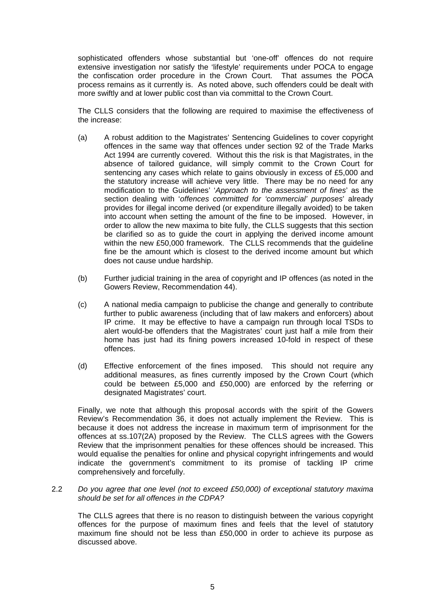sophisticated offenders whose substantial but 'one-off' offences do not require extensive investigation nor satisfy the 'lifestyle' requirements under POCA to engage the confiscation order procedure in the Crown Court. That assumes the POCA process remains as it currently is. As noted above, such offenders could be dealt with more swiftly and at lower public cost than via committal to the Crown Court.

The CLLS considers that the following are required to maximise the effectiveness of the increase:

- (a) A robust addition to the Magistrates' Sentencing Guidelines to cover copyright offences in the same way that offences under section 92 of the Trade Marks Act 1994 are currently covered. Without this the risk is that Magistrates, in the absence of tailored guidance, will simply commit to the Crown Court for sentencing any cases which relate to gains obviously in excess of £5,000 and the statutory increase will achieve very little. There may be no need for any modification to the Guidelines' '*Approach to the assessment of fines*' as the section dealing with '*offences committed for 'commercial' purposes*' already provides for illegal income derived (or expenditure illegally avoided) to be taken into account when setting the amount of the fine to be imposed. However, in order to allow the new maxima to bite fully, the CLLS suggests that this section be clarified so as to guide the court in applying the derived income amount within the new £50,000 framework. The CLLS recommends that the guideline fine be the amount which is closest to the derived income amount but which does not cause undue hardship.
- (b) Further judicial training in the area of copyright and IP offences (as noted in the Gowers Review, Recommendation 44).
- (c) A national media campaign to publicise the change and generally to contribute further to public awareness (including that of law makers and enforcers) about IP crime. It may be effective to have a campaign run through local TSDs to alert would-be offenders that the Magistrates' court just half a mile from their home has just had its fining powers increased 10-fold in respect of these offences.
- (d) Effective enforcement of the fines imposed. This should not require any additional measures, as fines currently imposed by the Crown Court (which could be between £5,000 and £50,000) are enforced by the referring or designated Magistrates' court.

Finally, we note that although this proposal accords with the spirit of the Gowers Review's Recommendation 36, it does not actually implement the Review. This is because it does not address the increase in maximum term of imprisonment for the offences at ss.107(2A) proposed by the Review. The CLLS agrees with the Gowers Review that the imprisonment penalties for these offences should be increased. This would equalise the penalties for online and physical copyright infringements and would indicate the government's commitment to its promise of tackling IP crime comprehensively and forcefully.

2.2 *Do you agree that one level (not to exceed £50,000) of exceptional statutory maxima should be set for all offences in the CDPA?*

The CLLS agrees that there is no reason to distinguish between the various copyright offences for the purpose of maximum fines and feels that the level of statutory maximum fine should not be less than £50,000 in order to achieve its purpose as discussed above.